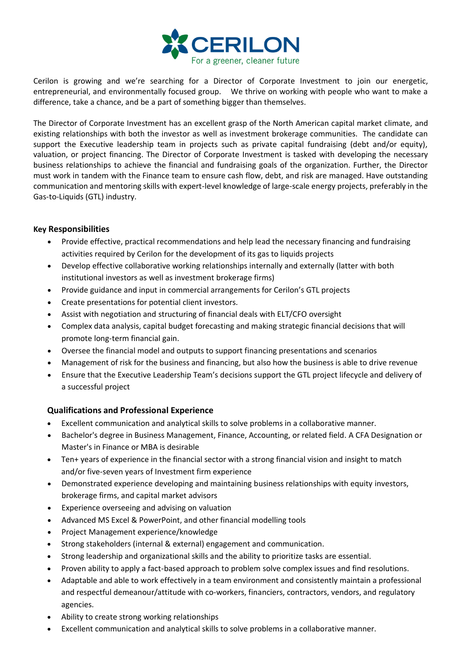

Cerilon is growing and we're searching for a Director of Corporate Investment to join our energetic, entrepreneurial, and environmentally focused group. We thrive on working with people who want to make a difference, take a chance, and be a part of something bigger than themselves.

The Director of Corporate Investment has an excellent grasp of the North American capital market climate, and existing relationships with both the investor as well as investment brokerage communities. The candidate can support the Executive leadership team in projects such as private capital fundraising (debt and/or equity), valuation, or project financing. The Director of Corporate Investment is tasked with developing the necessary business relationships to achieve the financial and fundraising goals of the organization. Further, the Director must work in tandem with the Finance team to ensure cash flow, debt, and risk are managed. Have outstanding communication and mentoring skills with expert-level knowledge of large-scale energy projects, preferably in the Gas-to-Liquids (GTL) industry.

## **Key Responsibilities**

- Provide effective, practical recommendations and help lead the necessary financing and fundraising activities required by Cerilon for the development of its gas to liquids projects
- Develop effective collaborative working relationships internally and externally (latter with both institutional investors as well as investment brokerage firms)
- Provide guidance and input in commercial arrangements for Cerilon's GTL projects
- Create presentations for potential client investors.
- Assist with negotiation and structuring of financial deals with ELT/CFO oversight
- Complex data analysis, capital budget forecasting and making strategic financial decisions that will promote long-term financial gain.
- Oversee the financial model and outputs to support financing presentations and scenarios
- Management of risk for the business and financing, but also how the business is able to drive revenue
- Ensure that the Executive Leadership Team's decisions support the GTL project lifecycle and delivery of a successful project

## **Qualifications and Professional Experience**

- Excellent communication and analytical skills to solve problems in a collaborative manner.
- Bachelor's degree in Business Management, Finance, Accounting, or related field. A CFA Designation or Master's in Finance or MBA is desirable
- Ten+ years of experience in the financial sector with a strong financial vision and insight to match and/or five-seven years of Investment firm experience
- Demonstrated experience developing and maintaining business relationships with equity investors, brokerage firms, and capital market advisors
- Experience overseeing and advising on valuation
- Advanced MS Excel & PowerPoint, and other financial modelling tools
- Project Management experience/knowledge
- Strong stakeholders (internal & external) engagement and communication.
- Strong leadership and organizational skills and the ability to prioritize tasks are essential.
- Proven ability to apply a fact-based approach to problem solve complex issues and find resolutions.
- Adaptable and able to work effectively in a team environment and consistently maintain a professional and respectful demeanour/attitude with co-workers, financiers, contractors, vendors, and regulatory agencies.
- Ability to create strong working relationships
- Excellent communication and analytical skills to solve problems in a collaborative manner.